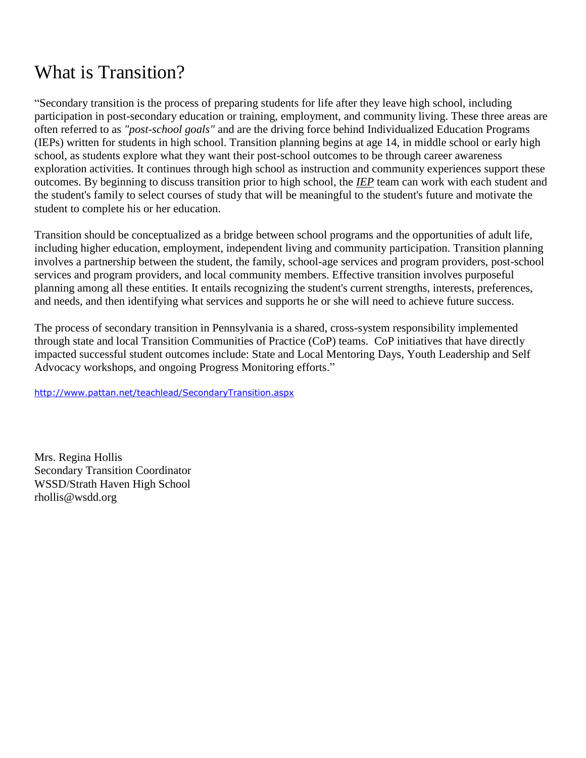# What is Transition?

"Secondary transition is the process of preparing students for life after they leave high school, including participation in post-secondary education or training, employment, and community living. These three areas are often referred to as *"post-school goals"* and are the driving force behind Individualized Education Programs (IEPs) written for students in high school. Transition planning begins at age 14, in middle school or early high school, as students explore what they want their post-school outcomes to be through career awareness exploration activities. It continues through high school as instruction and community experiences support these outcomes. By beginning to discuss transition prior to high school, the *[IEP](http://www.pattan.net/glossary.aspx?startswith=iep)* team can work with each student and the student's family to select courses of study that will be meaningful to the student's future and motivate the student to complete his or her education.

Transition should be conceptualized as a bridge between school programs and the opportunities of adult life, including higher education, employment, independent living and community participation. Transition planning involves a partnership between the student, the family, school-age services and program providers, post-school services and program providers, and local community members. Effective transition involves purposeful planning among all these entities. It entails recognizing the student's current strengths, interests, preferences, and needs, and then identifying what services and supports he or she will need to achieve future success.

The process of secondary transition in Pennsylvania is a shared, cross-system responsibility implemented through state and local Transition Communities of Practice (CoP) teams. CoP initiatives that have directly impacted successful student outcomes include: State and Local Mentoring Days, Youth Leadership and Self Advocacy workshops, and ongoing [Progress Monitoring](http://www.pattan.net/teachlead/progressmonitoring.aspx) efforts."

<http://www.pattan.net/teachlead/SecondaryTransition.aspx>

Mrs. Regina Hollis Secondary Transition Coordinator WSSD/Strath Haven High School rhollis@wsdd.org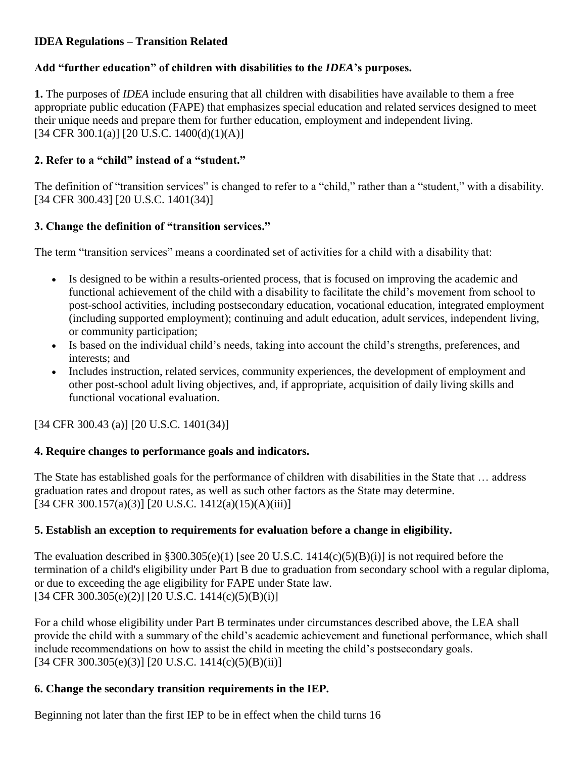## **IDEA Regulations – Transition Related**

## **Add "further education" of children with disabilities to the** *IDEA***'s purposes.**

**1.** The purposes of *IDEA* include ensuring that all children with disabilities have available to them a free appropriate public education (FAPE) that emphasizes special education and related services designed to meet their unique needs and prepare them for further education, employment and independent living. [34 CFR 300.1(a)] [20 U.S.C. 1400(d)(1)(A)]

## **2. Refer to a "child" instead of a "student."**

The definition of "transition services" is changed to refer to a "child," rather than a "student," with a disability. [34 CFR 300.43] [20 U.S.C. 1401(34)]

## **3. Change the definition of "transition services."**

The term "transition services" means a coordinated set of activities for a child with a disability that:

- Is designed to be within a results-oriented process, that is focused on improving the academic and functional achievement of the child with a disability to facilitate the child's movement from school to post-school activities, including postsecondary education, vocational education, integrated employment (including supported employment); continuing and adult education, adult services, independent living, or community participation;
- Is based on the individual child's needs, taking into account the child's strengths, preferences, and interests; and
- Includes instruction, related services, community experiences, the development of employment and other post-school adult living objectives, and, if appropriate, acquisition of daily living skills and functional vocational evaluation.

[34 CFR 300.43 (a)] [20 U.S.C. 1401(34)]

## **4. Require changes to performance goals and indicators.**

The State has established goals for the performance of children with disabilities in the State that … address graduation rates and dropout rates, as well as such other factors as the State may determine. [34 CFR 300.157(a)(3)] [20 U.S.C. 1412(a)(15)(A)(iii)]

## **5. Establish an exception to requirements for evaluation before a change in eligibility.**

The evaluation described in §300.305(e)(1) [see 20 U.S.C. 1414(c)(5)(B)(i)] is not required before the termination of a child's eligibility under Part B due to graduation from secondary school with a regular diploma, or due to exceeding the age eligibility for FAPE under State law.  $[34 \text{ CFR } 300.305(e)(2)]$   $[20 \text{ U.S.C. } 1414(e)(5)(B)(i)]$ 

For a child whose eligibility under Part B terminates under circumstances described above, the LEA shall provide the child with a summary of the child's academic achievement and functional performance, which shall include recommendations on how to assist the child in meeting the child's postsecondary goals. [34 CFR 300.305(e)(3)] [20 U.S.C. 1414(c)(5)(B)(ii)]

## **6. Change the secondary transition requirements in the IEP.**

Beginning not later than the first IEP to be in effect when the child turns 16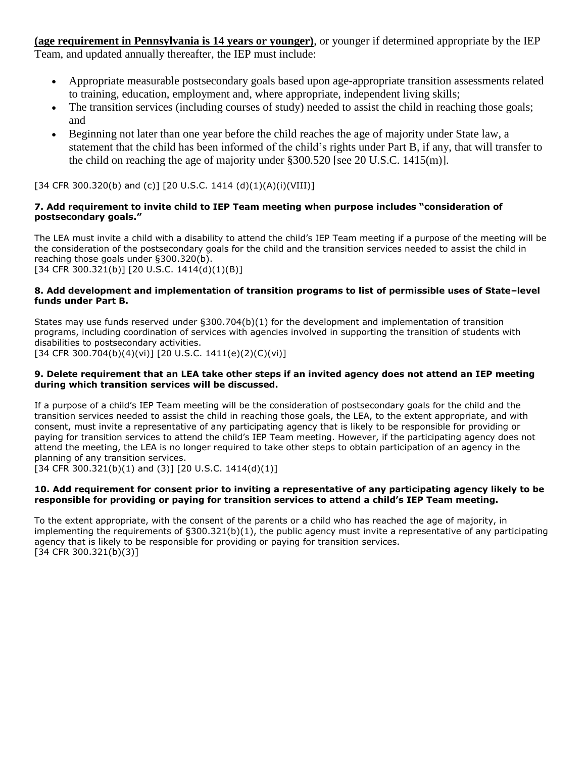**(age requirement in Pennsylvania is 14 years or younger)**, or younger if determined appropriate by the IEP Team, and updated annually thereafter, the IEP must include:

- Appropriate measurable postsecondary goals based upon age-appropriate transition assessments related to training, education, employment and, where appropriate, independent living skills;
- The transition services (including courses of study) needed to assist the child in reaching those goals; and
- Beginning not later than one year before the child reaches the age of majority under State law, a statement that the child has been informed of the child's rights under Part B, if any, that will transfer to the child on reaching the age of majority under §300.520 [see 20 U.S.C. 1415(m)].

[34 CFR 300.320(b) and (c)] [20 U.S.C. 1414 (d)(1)(A)(i)(VIII)]

#### **7. Add requirement to invite child to IEP Team meeting when purpose includes "consideration of postsecondary goals."**

The LEA must invite a child with a disability to attend the child's IEP Team meeting if a purpose of the meeting will be the consideration of the postsecondary goals for the child and the transition services needed to assist the child in reaching those goals under §300.320(b). [34 CFR 300.321(b)] [20 U.S.C. 1414(d)(1)(B)]

#### **8. Add development and implementation of transition programs to list of permissible uses of State–level funds under Part B.**

States may use funds reserved under §300.704(b)(1) for the development and implementation of transition programs, including coordination of services with agencies involved in supporting the transition of students with disabilities to postsecondary activities.

[34 CFR 300.704(b)(4)(vi)] [20 U.S.C. 1411(e)(2)(C)(vi)]

#### **9. Delete requirement that an LEA take other steps if an invited agency does not attend an IEP meeting during which transition services will be discussed.**

If a purpose of a child's IEP Team meeting will be the consideration of postsecondary goals for the child and the transition services needed to assist the child in reaching those goals, the LEA, to the extent appropriate, and with consent, must invite a representative of any participating agency that is likely to be responsible for providing or paying for transition services to attend the child's IEP Team meeting. However, if the participating agency does not attend the meeting, the LEA is no longer required to take other steps to obtain participation of an agency in the planning of any transition services.

 $[34$  CFR 300.321(b)(1) and (3)]  $[20$  U.S.C. 1414(d)(1)]

#### **10. Add requirement for consent prior to inviting a representative of any participating agency likely to be responsible for providing or paying for transition services to attend a child's IEP Team meeting.**

To the extent appropriate, with the consent of the parents or a child who has reached the age of majority, in implementing the requirements of  $\S 300.321(b)(1)$ , the public agency must invite a representative of any participating agency that is likely to be responsible for providing or paying for transition services. [34 CFR 300.321(b)(3)]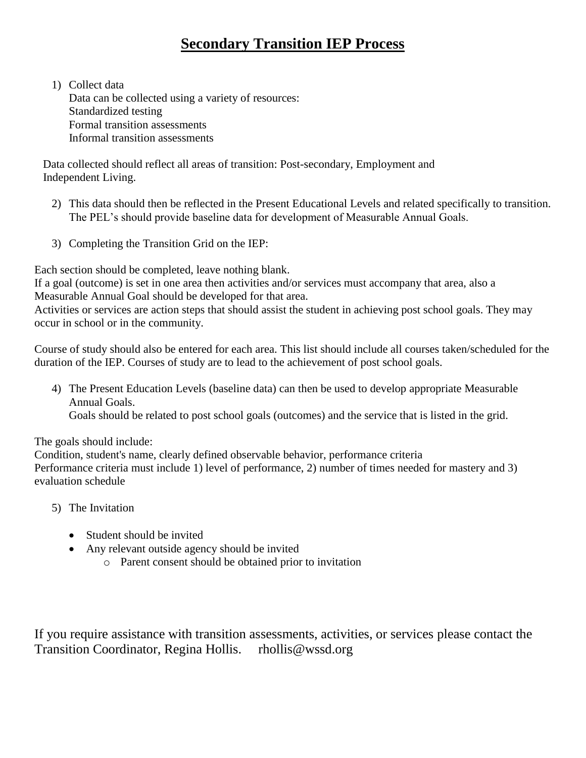## **Secondary Transition IEP Process**

1) Collect data Data can be collected using a variety of resources: Standardized testing Formal transition assessments Informal transition assessments

 Data collected should reflect all areas of transition: Post-secondary, Employment and Independent Living.

- 2) This data should then be reflected in the Present Educational Levels and related specifically to transition. The PEL's should provide baseline data for development of Measurable Annual Goals.
- 3) Completing the Transition Grid on the IEP:

Each section should be completed, leave nothing blank.

If a goal (outcome) is set in one area then activities and/or services must accompany that area, also a Measurable Annual Goal should be developed for that area.

Activities or services are action steps that should assist the student in achieving post school goals. They may occur in school or in the community.

Course of study should also be entered for each area. This list should include all courses taken/scheduled for the duration of the IEP. Courses of study are to lead to the achievement of post school goals.

4) The Present Education Levels (baseline data) can then be used to develop appropriate Measurable Annual Goals. Goals should be related to post school goals (outcomes) and the service that is listed in the grid.

The goals should include:

Condition, student's name, clearly defined observable behavior, performance criteria Performance criteria must include 1) level of performance, 2) number of times needed for mastery and 3) evaluation schedule

- 5) The Invitation
	- Student should be invited
	- Any relevant outside agency should be invited
		- o Parent consent should be obtained prior to invitation

If you require assistance with transition assessments, activities, or services please contact the Transition Coordinator, Regina Hollis. rhollis@wssd.org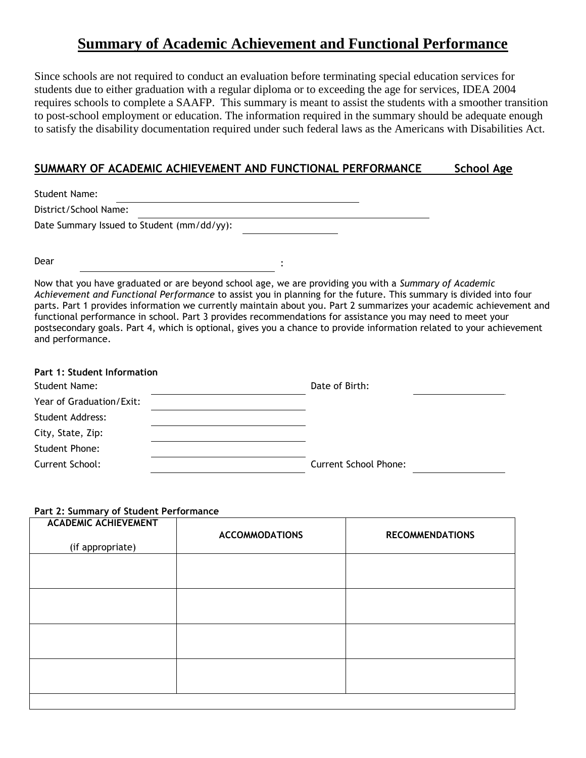## **Summary of Academic Achievement and Functional Performance**

Since schools are not required to conduct an evaluation before terminating special education services for students due to either graduation with a regular diploma or to exceeding the age for services, IDEA 2004 requires schools to complete a SAAFP. This summary is meant to assist the students with a smoother transition to post-school employment or education. The information required in the summary should be adequate enough to satisfy the disability documentation required under such federal laws as the Americans with Disabilities Act.

### **SUMMARY OF ACADEMIC ACHIEVEMENT AND FUNCTIONAL PERFORMANCE School Age**

| <b>Student Name:</b>                       |  |
|--------------------------------------------|--|
| District/School Name:                      |  |
| Date Summary Issued to Student (mm/dd/yy): |  |

Dear

Now that you have graduated or are beyond school age, we are providing you with a *Summary of Academic Achievement and Functional Performance* to assist you in planning for the future. This summary is divided into four parts. Part 1 provides information we currently maintain about you. Part 2 summarizes your academic achievement and functional performance in school. Part 3 provides recommendations for assistance you may need to meet your postsecondary goals. Part 4, which is optional, gives you a chance to provide information related to your achievement and performance.

:

| <b>Part 1: Student Information</b> |                              |
|------------------------------------|------------------------------|
| Student Name:                      | Date of Birth:               |
| Year of Graduation/Exit:           |                              |
| <b>Student Address:</b>            |                              |
| City, State, Zip:                  |                              |
| Student Phone:                     |                              |
| Current School:                    | <b>Current School Phone:</b> |

#### **Part 2: Summary of Student Performance**

| <b>ACADEMIC ACHIEVEMENT</b><br>(if appropriate) | <b>ACCOMMODATIONS</b> | <b>RECOMMENDATIONS</b> |
|-------------------------------------------------|-----------------------|------------------------|
|                                                 |                       |                        |
|                                                 |                       |                        |
|                                                 |                       |                        |
|                                                 |                       |                        |
|                                                 |                       |                        |